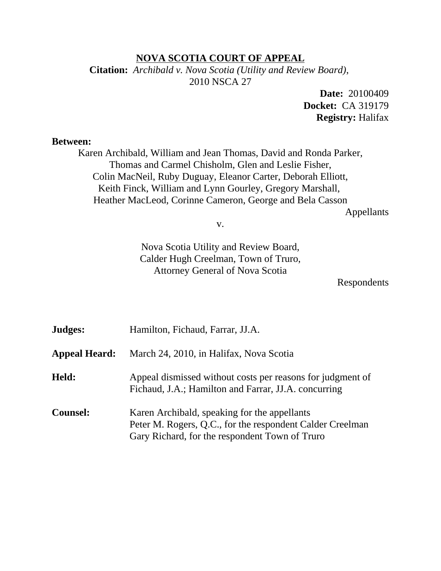#### **NOVA SCOTIA COURT OF APPEAL**

**Citation:** *Archibald v. Nova Scotia (Utility and Review Board)*, 2010 NSCA 27

> **Date:** 20100409 **Docket:** CA 319179 **Registry:** Halifax

#### **Between:**

Karen Archibald, William and Jean Thomas, David and Ronda Parker, Thomas and Carmel Chisholm, Glen and Leslie Fisher, Colin MacNeil, Ruby Duguay, Eleanor Carter, Deborah Elliott, Keith Finck, William and Lynn Gourley, Gregory Marshall, Heather MacLeod, Corinne Cameron, George and Bela Casson

Appellants

v.

Nova Scotia Utility and Review Board, Calder Hugh Creelman, Town of Truro, Attorney General of Nova Scotia

Respondents

| Judges:              | Hamilton, Fichaud, Farrar, JJ.A.                                                                                                                            |
|----------------------|-------------------------------------------------------------------------------------------------------------------------------------------------------------|
| <b>Appeal Heard:</b> | March 24, 2010, in Halifax, Nova Scotia                                                                                                                     |
| Held:                | Appeal dismissed without costs per reasons for judgment of<br>Fichaud, J.A.; Hamilton and Farrar, JJ.A. concurring                                          |
| <b>Counsel:</b>      | Karen Archibald, speaking for the appellants<br>Peter M. Rogers, Q.C., for the respondent Calder Creelman<br>Gary Richard, for the respondent Town of Truro |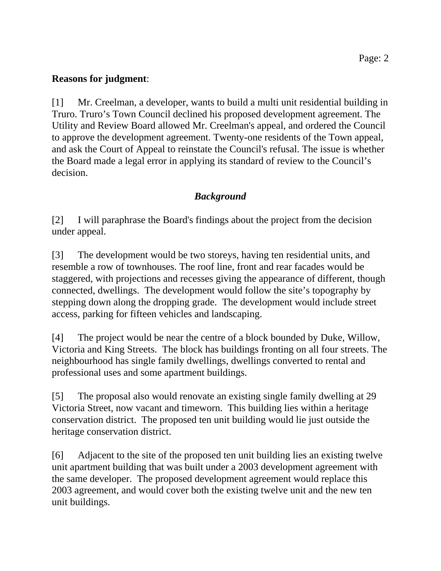### **Reasons for judgment**:

[1] Mr. Creelman, a developer, wants to build a multi unit residential building in Truro. Truro's Town Council declined his proposed development agreement. The Utility and Review Board allowed Mr. Creelman's appeal, and ordered the Council to approve the development agreement. Twenty-one residents of the Town appeal, and ask the Court of Appeal to reinstate the Council's refusal. The issue is whether the Board made a legal error in applying its standard of review to the Council's decision.

# *Background*

[2] I will paraphrase the Board's findings about the project from the decision under appeal.

[3] The development would be two storeys, having ten residential units, and resemble a row of townhouses. The roof line, front and rear facades would be staggered, with projections and recesses giving the appearance of different, though connected, dwellings. The development would follow the site's topography by stepping down along the dropping grade. The development would include street access, parking for fifteen vehicles and landscaping.

[4] The project would be near the centre of a block bounded by Duke, Willow, Victoria and King Streets. The block has buildings fronting on all four streets. The neighbourhood has single family dwellings, dwellings converted to rental and professional uses and some apartment buildings.

[5] The proposal also would renovate an existing single family dwelling at 29 Victoria Street, now vacant and timeworn. This building lies within a heritage conservation district. The proposed ten unit building would lie just outside the heritage conservation district.

[6] Adjacent to the site of the proposed ten unit building lies an existing twelve unit apartment building that was built under a 2003 development agreement with the same developer. The proposed development agreement would replace this 2003 agreement, and would cover both the existing twelve unit and the new ten unit buildings.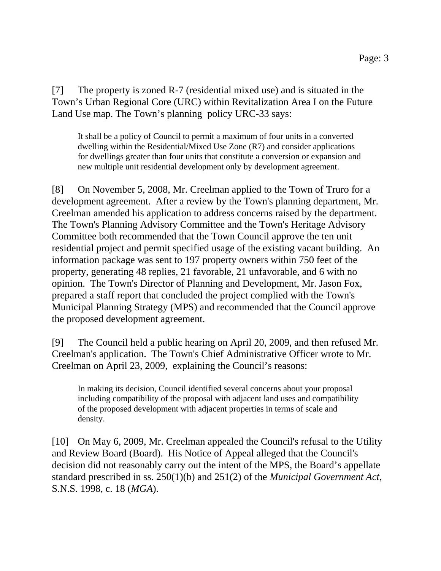[7] The property is zoned R-7 (residential mixed use) and is situated in the Town's Urban Regional Core (URC) within Revitalization Area I on the Future Land Use map. The Town's planning policy URC-33 says:

It shall be a policy of Council to permit a maximum of four units in a converted dwelling within the Residential/Mixed Use Zone (R7) and consider applications for dwellings greater than four units that constitute a conversion or expansion and new multiple unit residential development only by development agreement.

[8] On November 5, 2008, Mr. Creelman applied to the Town of Truro for a development agreement. After a review by the Town's planning department, Mr. Creelman amended his application to address concerns raised by the department. The Town's Planning Advisory Committee and the Town's Heritage Advisory Committee both recommended that the Town Council approve the ten unit residential project and permit specified usage of the existing vacant building. An information package was sent to 197 property owners within 750 feet of the property, generating 48 replies, 21 favorable, 21 unfavorable, and 6 with no opinion. The Town's Director of Planning and Development, Mr. Jason Fox, prepared a staff report that concluded the project complied with the Town's Municipal Planning Strategy (MPS) and recommended that the Council approve the proposed development agreement.

[9] The Council held a public hearing on April 20, 2009, and then refused Mr. Creelman's application. The Town's Chief Administrative Officer wrote to Mr. Creelman on April 23, 2009, explaining the Council's reasons:

In making its decision, Council identified several concerns about your proposal including compatibility of the proposal with adjacent land uses and compatibility of the proposed development with adjacent properties in terms of scale and density.

[10] On May 6, 2009, Mr. Creelman appealed the Council's refusal to the Utility and Review Board (Board). His Notice of Appeal alleged that the Council's decision did not reasonably carry out the intent of the MPS, the Board's appellate standard prescribed in ss. 250(1)(b) and 251(2) of the *Municipal Government Act*, S.N.S. 1998, c. 18 (*MGA*).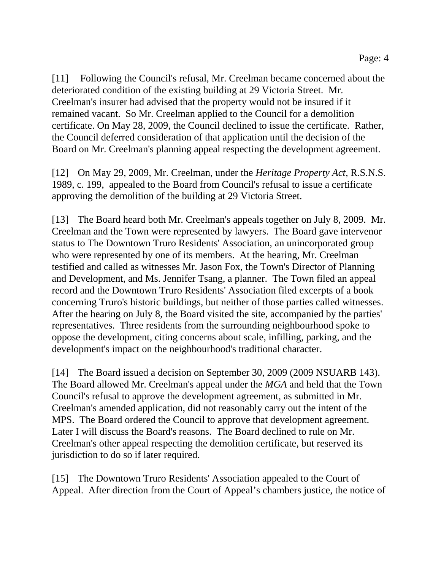[11] Following the Council's refusal, Mr. Creelman became concerned about the deteriorated condition of the existing building at 29 Victoria Street. Mr. Creelman's insurer had advised that the property would not be insured if it remained vacant. So Mr. Creelman applied to the Council for a demolition certificate. On May 28, 2009, the Council declined to issue the certificate. Rather, the Council deferred consideration of that application until the decision of the Board on Mr. Creelman's planning appeal respecting the development agreement.

[12] On May 29, 2009, Mr. Creelman, under the *Heritage Property Act*, R.S.N.S. 1989, c. 199, appealed to the Board from Council's refusal to issue a certificate approving the demolition of the building at 29 Victoria Street.

[13] The Board heard both Mr. Creelman's appeals together on July 8, 2009. Mr. Creelman and the Town were represented by lawyers. The Board gave intervenor status to The Downtown Truro Residents' Association, an unincorporated group who were represented by one of its members. At the hearing, Mr. Creelman testified and called as witnesses Mr. Jason Fox, the Town's Director of Planning and Development, and Ms. Jennifer Tsang, a planner. The Town filed an appeal record and the Downtown Truro Residents' Association filed excerpts of a book concerning Truro's historic buildings, but neither of those parties called witnesses. After the hearing on July 8, the Board visited the site, accompanied by the parties' representatives. Three residents from the surrounding neighbourhood spoke to oppose the development, citing concerns about scale, infilling, parking, and the development's impact on the neighbourhood's traditional character.

[14] The Board issued a decision on September 30, 2009 (2009 NSUARB 143). The Board allowed Mr. Creelman's appeal under the *MGA* and held that the Town Council's refusal to approve the development agreement, as submitted in Mr. Creelman's amended application, did not reasonably carry out the intent of the MPS. The Board ordered the Council to approve that development agreement. Later I will discuss the Board's reasons. The Board declined to rule on Mr. Creelman's other appeal respecting the demolition certificate, but reserved its jurisdiction to do so if later required.

[15] The Downtown Truro Residents' Association appealed to the Court of Appeal. After direction from the Court of Appeal's chambers justice, the notice of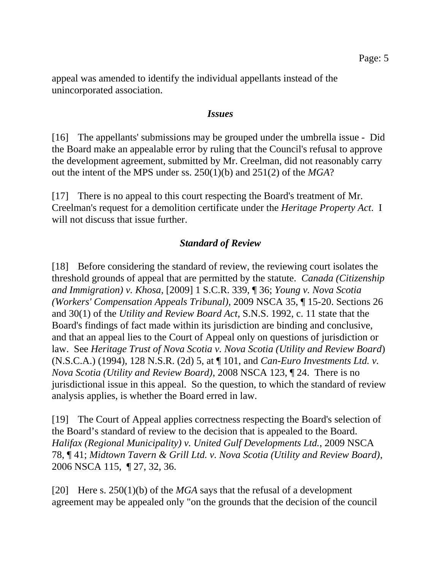appeal was amended to identify the individual appellants instead of the unincorporated association.

#### *Issues*

[16] The appellants' submissions may be grouped under the umbrella issue - Did the Board make an appealable error by ruling that the Council's refusal to approve the development agreement, submitted by Mr. Creelman, did not reasonably carry out the intent of the MPS under ss. 250(1)(b) and 251(2) of the *MGA*?

[17] There is no appeal to this court respecting the Board's treatment of Mr. Creelman's request for a demolition certificate under the *Heritage Property Act*. I will not discuss that issue further.

## *Standard of Review*

[18] Before considering the standard of review, the reviewing court isolates the threshold grounds of appeal that are permitted by the statute. *Canada (Citizenship and Immigration) v. Khosa*, [2009] 1 S.C.R. 339, ¶ 36; *Young v. Nova Scotia (Workers' Compensation Appeals Tribunal)*, 2009 NSCA 35, ¶ 15-20. Sections 26 and 30(1) of the *Utility and Review Board Act*, S.N.S. 1992, c. 11 state that the Board's findings of fact made within its jurisdiction are binding and conclusive, and that an appeal lies to the Court of Appeal only on questions of jurisdiction or law. See *Heritage Trust of Nova Scotia v. Nova Scotia (Utility and Review Board*) (N.S.C.A.) (1994), 128 N.S.R. (2d) 5, at ¶ 101, and *Can-Euro Investments Ltd. v. Nova Scotia (Utility and Review Board)*, 2008 NSCA 123, ¶ 24. There is no jurisdictional issue in this appeal. So the question, to which the standard of review analysis applies, is whether the Board erred in law.

[19] The Court of Appeal applies correctness respecting the Board's selection of the Board's standard of review to the decision that is appealed to the Board. *Halifax (Regional Municipality) v. United Gulf Developments Ltd.*, 2009 NSCA 78, ¶ 41; *Midtown Tavern & Grill Ltd. v. Nova Scotia (Utility and Review Board)*, 2006 NSCA 115, ¶ 27, 32, 36.

[20] Here s. 250(1)(b) of the *MGA* says that the refusal of a development agreement may be appealed only "on the grounds that the decision of the council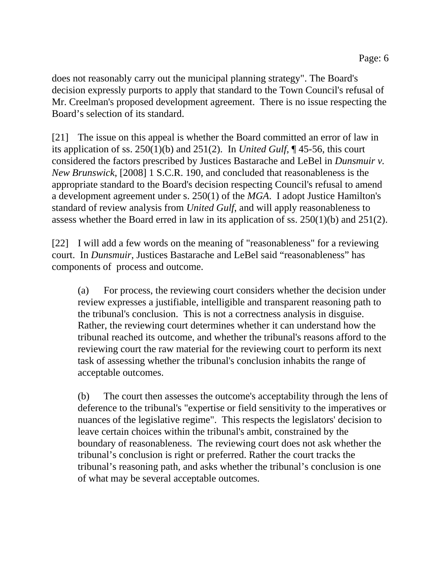does not reasonably carry out the municipal planning strategy". The Board's decision expressly purports to apply that standard to the Town Council's refusal of Mr. Creelman's proposed development agreement. There is no issue respecting the Board's selection of its standard.

[21] The issue on this appeal is whether the Board committed an error of law in its application of ss. 250(1)(b) and 251(2). In *United Gulf*, ¶ 45-56, this court considered the factors prescribed by Justices Bastarache and LeBel in *Dunsmuir v. New Brunswick*, [2008] 1 S.C.R. 190, and concluded that reasonableness is the appropriate standard to the Board's decision respecting Council's refusal to amend a development agreement under s. 250(1) of the *MGA*. I adopt Justice Hamilton's standard of review analysis from *United Gulf*, and will apply reasonableness to assess whether the Board erred in law in its application of ss. 250(1)(b) and 251(2).

[22] I will add a few words on the meaning of "reasonableness" for a reviewing court. In *Dunsmuir*, Justices Bastarache and LeBel said "reasonableness" has components of process and outcome.

(a) For process, the reviewing court considers whether the decision under review expresses a justifiable, intelligible and transparent reasoning path to the tribunal's conclusion. This is not a correctness analysis in disguise. Rather, the reviewing court determines whether it can understand how the tribunal reached its outcome, and whether the tribunal's reasons afford to the reviewing court the raw material for the reviewing court to perform its next task of assessing whether the tribunal's conclusion inhabits the range of acceptable outcomes.

(b) The court then assesses the outcome's acceptability through the lens of deference to the tribunal's "expertise or field sensitivity to the imperatives or nuances of the legislative regime". This respects the legislators' decision to leave certain choices within the tribunal's ambit, constrained by the boundary of reasonableness. The reviewing court does not ask whether the tribunal's conclusion is right or preferred. Rather the court tracks the tribunal's reasoning path, and asks whether the tribunal's conclusion is one of what may be several acceptable outcomes.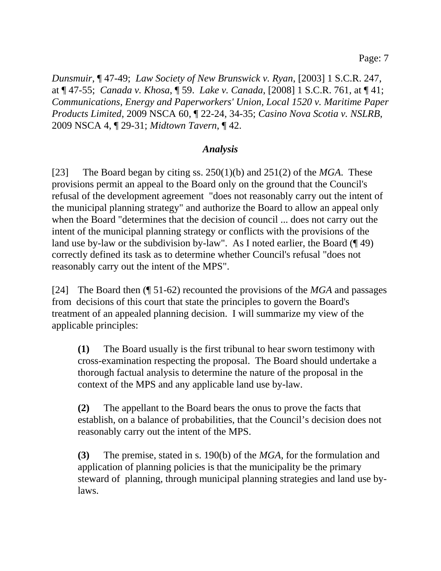*Dunsmuir*, ¶ 47-49; *Law Society of New Brunswick v. Ryan*, [2003] 1 S.C.R. 247, at ¶ 47-55; *Canada v. Khosa*, ¶ 59. *Lake v. Canada*, [2008] 1 S.C.R. 761, at ¶ 41; *Communications, Energy and Paperworkers' Union, Local 1520 v. Maritime Paper Products Limited*, 2009 NSCA 60, ¶ 22-24, 34-35; *Casino Nova Scotia v. NSLRB*, 2009 NSCA 4, ¶ 29-31; *Midtown Tavern*, ¶ 42.

### *Analysis*

[23] The Board began by citing ss. 250(1)(b) and 251(2) of the *MGA*. These provisions permit an appeal to the Board only on the ground that the Council's refusal of the development agreement "does not reasonably carry out the intent of the municipal planning strategy" and authorize the Board to allow an appeal only when the Board "determines that the decision of council ... does not carry out the intent of the municipal planning strategy or conflicts with the provisions of the land use by-law or the subdivision by-law". As I noted earlier, the Board (149) correctly defined its task as to determine whether Council's refusal "does not reasonably carry out the intent of the MPS".

[24] The Board then (¶ 51-62) recounted the provisions of the *MGA* and passages from decisions of this court that state the principles to govern the Board's treatment of an appealed planning decision. I will summarize my view of the applicable principles:

**(1)** The Board usually is the first tribunal to hear sworn testimony with cross-examination respecting the proposal. The Board should undertake a thorough factual analysis to determine the nature of the proposal in the context of the MPS and any applicable land use by-law.

**(2)** The appellant to the Board bears the onus to prove the facts that establish, on a balance of probabilities, that the Council's decision does not reasonably carry out the intent of the MPS.

**(3)** The premise, stated in s. 190(b) of the *MGA*, for the formulation and application of planning policies is that the municipality be the primary steward of planning, through municipal planning strategies and land use bylaws.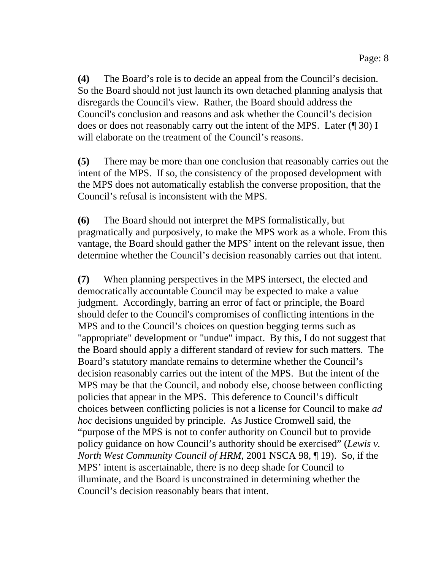**(4)** The Board's role is to decide an appeal from the Council's decision. So the Board should not just launch its own detached planning analysis that disregards the Council's view. Rather, the Board should address the Council's conclusion and reasons and ask whether the Council's decision does or does not reasonably carry out the intent of the MPS. Later (¶ 30) I will elaborate on the treatment of the Council's reasons.

**(5)** There may be more than one conclusion that reasonably carries out the intent of the MPS. If so, the consistency of the proposed development with the MPS does not automatically establish the converse proposition, that the Council's refusal is inconsistent with the MPS.

**(6)** The Board should not interpret the MPS formalistically, but pragmatically and purposively, to make the MPS work as a whole. From this vantage, the Board should gather the MPS' intent on the relevant issue, then determine whether the Council's decision reasonably carries out that intent.

**(7)** When planning perspectives in the MPS intersect, the elected and democratically accountable Council may be expected to make a value judgment. Accordingly, barring an error of fact or principle, the Board should defer to the Council's compromises of conflicting intentions in the MPS and to the Council's choices on question begging terms such as "appropriate" development or "undue" impact. By this, I do not suggest that the Board should apply a different standard of review for such matters. The Board's statutory mandate remains to determine whether the Council's decision reasonably carries out the intent of the MPS. But the intent of the MPS may be that the Council, and nobody else, choose between conflicting policies that appear in the MPS. This deference to Council's difficult choices between conflicting policies is not a license for Council to make *ad hoc* decisions unguided by principle. As Justice Cromwell said, the "purpose of the MPS is not to confer authority on Council but to provide policy guidance on how Council's authority should be exercised" (*Lewis v. North West Community Council of HRM*, 2001 NSCA 98, ¶ 19). So, if the MPS' intent is ascertainable, there is no deep shade for Council to illuminate, and the Board is unconstrained in determining whether the Council's decision reasonably bears that intent.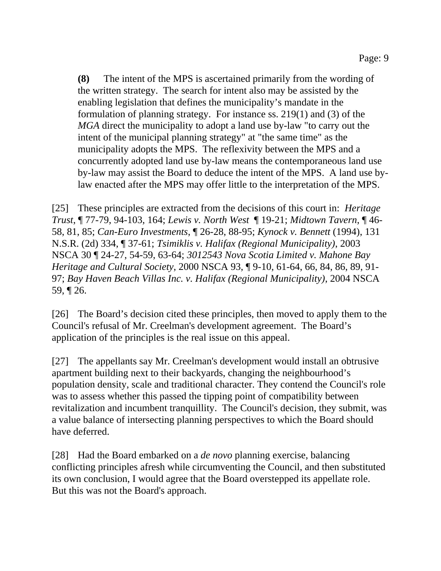**(8)** The intent of the MPS is ascertained primarily from the wording of the written strategy. The search for intent also may be assisted by the enabling legislation that defines the municipality's mandate in the formulation of planning strategy. For instance ss. 219(1) and (3) of the *MGA* direct the municipality to adopt a land use by-law "to carry out the intent of the municipal planning strategy" at "the same time" as the municipality adopts the MPS. The reflexivity between the MPS and a concurrently adopted land use by-law means the contemporaneous land use by-law may assist the Board to deduce the intent of the MPS. A land use bylaw enacted after the MPS may offer little to the interpretation of the MPS.

[25] These principles are extracted from the decisions of this court in: *Heritage Trust*, ¶ 77-79, 94-103, 164; *Lewis v. North West* ¶ 19-21; *Midtown Tavern*, ¶ 46- 58, 81, 85; *Can-Euro Investments*, ¶ 26-28, 88-95; *Kynock v. Bennett* (1994), 131 N.S.R. (2d) 334, ¶ 37-61; *Tsimiklis v. Halifax (Regional Municipality)*, 2003 NSCA 30 ¶ 24-27, 54-59, 63-64; *3012543 Nova Scotia Limited v. Mahone Bay Heritage and Cultural Society*, 2000 NSCA 93, ¶ 9-10, 61-64, 66, 84, 86, 89, 91- 97; *Bay Haven Beach Villas Inc. v. Halifax (Regional Municipality)*, 2004 NSCA 59, ¶ 26.

[26] The Board's decision cited these principles, then moved to apply them to the Council's refusal of Mr. Creelman's development agreement. The Board's application of the principles is the real issue on this appeal.

[27] The appellants say Mr. Creelman's development would install an obtrusive apartment building next to their backyards, changing the neighbourhood's population density, scale and traditional character. They contend the Council's role was to assess whether this passed the tipping point of compatibility between revitalization and incumbent tranquillity. The Council's decision, they submit, was a value balance of intersecting planning perspectives to which the Board should have deferred.

[28] Had the Board embarked on a *de novo* planning exercise, balancing conflicting principles afresh while circumventing the Council, and then substituted its own conclusion, I would agree that the Board overstepped its appellate role. But this was not the Board's approach.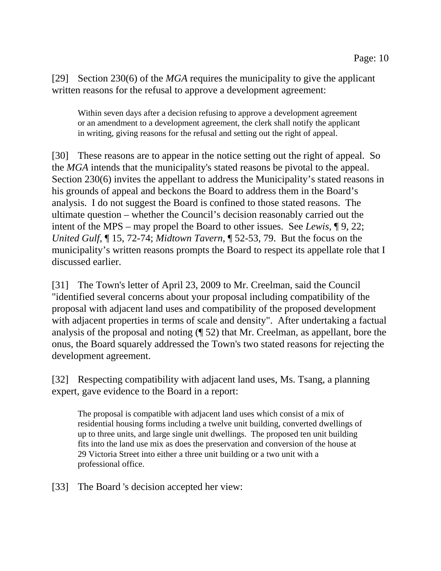[29] Section 230(6) of the *MGA* requires the municipality to give the applicant written reasons for the refusal to approve a development agreement:

Within seven days after a decision refusing to approve a development agreement or an amendment to a development agreement, the clerk shall notify the applicant in writing, giving reasons for the refusal and setting out the right of appeal.

[30] These reasons are to appear in the notice setting out the right of appeal. So the *MGA* intends that the municipality's stated reasons be pivotal to the appeal. Section 230(6) invites the appellant to address the Municipality's stated reasons in his grounds of appeal and beckons the Board to address them in the Board's analysis. I do not suggest the Board is confined to those stated reasons. The ultimate question – whether the Council's decision reasonably carried out the intent of the MPS – may propel the Board to other issues. See *Lewis*, ¶ 9, 22; *United Gulf*, ¶ 15, 72-74; *Midtown Tavern*, ¶ 52-53, 79. But the focus on the municipality's written reasons prompts the Board to respect its appellate role that I discussed earlier.

[31] The Town's letter of April 23, 2009 to Mr. Creelman, said the Council "identified several concerns about your proposal including compatibility of the proposal with adjacent land uses and compatibility of the proposed development with adjacent properties in terms of scale and density". After undertaking a factual analysis of the proposal and noting (¶ 52) that Mr. Creelman, as appellant, bore the onus, the Board squarely addressed the Town's two stated reasons for rejecting the development agreement.

[32] Respecting compatibility with adjacent land uses, Ms. Tsang, a planning expert, gave evidence to the Board in a report:

The proposal is compatible with adjacent land uses which consist of a mix of residential housing forms including a twelve unit building, converted dwellings of up to three units, and large single unit dwellings. The proposed ten unit building fits into the land use mix as does the preservation and conversion of the house at 29 Victoria Street into either a three unit building or a two unit with a professional office.

[33] The Board 's decision accepted her view: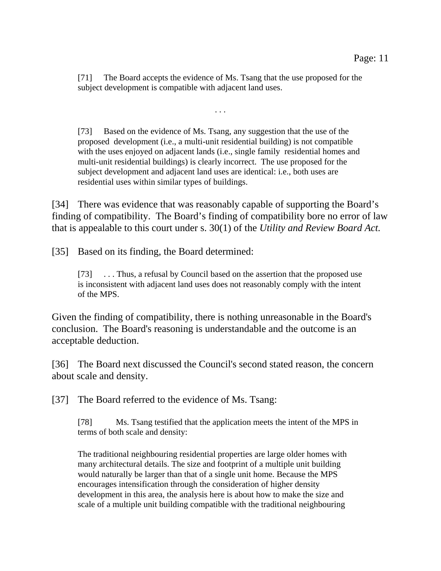[71] The Board accepts the evidence of Ms. Tsang that the use proposed for the subject development is compatible with adjacent land uses.

. . .

[73] Based on the evidence of Ms. Tsang, any suggestion that the use of the proposed development (i.e., a multi-unit residential building) is not compatible with the uses enjoyed on adjacent lands (i.e., single family residential homes and multi-unit residential buildings) is clearly incorrect. The use proposed for the subject development and adjacent land uses are identical: i.e., both uses are residential uses within similar types of buildings.

[34] There was evidence that was reasonably capable of supporting the Board's finding of compatibility. The Board's finding of compatibility bore no error of law that is appealable to this court under s. 30(1) of the *Utility and Review Board Act.* 

[35] Based on its finding, the Board determined:

[73] . . . Thus, a refusal by Council based on the assertion that the proposed use is inconsistent with adjacent land uses does not reasonably comply with the intent of the MPS.

Given the finding of compatibility, there is nothing unreasonable in the Board's conclusion. The Board's reasoning is understandable and the outcome is an acceptable deduction.

[36] The Board next discussed the Council's second stated reason, the concern about scale and density.

[37] The Board referred to the evidence of Ms. Tsang:

[78] Ms. Tsang testified that the application meets the intent of the MPS in terms of both scale and density:

The traditional neighbouring residential properties are large older homes with many architectural details. The size and footprint of a multiple unit building would naturally be larger than that of a single unit home. Because the MPS encourages intensification through the consideration of higher density development in this area, the analysis here is about how to make the size and scale of a multiple unit building compatible with the traditional neighbouring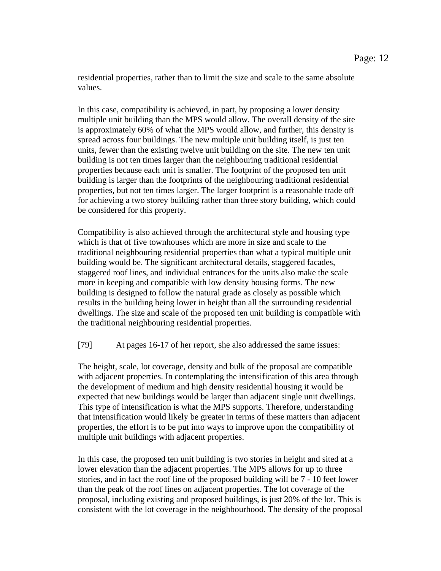residential properties, rather than to limit the size and scale to the same absolute values.

In this case, compatibility is achieved, in part, by proposing a lower density multiple unit building than the MPS would allow. The overall density of the site is approximately 60% of what the MPS would allow, and further, this density is spread across four buildings. The new multiple unit building itself, is just ten units, fewer than the existing twelve unit building on the site. The new ten unit building is not ten times larger than the neighbouring traditional residential properties because each unit is smaller. The footprint of the proposed ten unit building is larger than the footprints of the neighbouring traditional residential properties, but not ten times larger. The larger footprint is a reasonable trade off for achieving a two storey building rather than three story building, which could be considered for this property.

Compatibility is also achieved through the architectural style and housing type which is that of five townhouses which are more in size and scale to the traditional neighbouring residential properties than what a typical multiple unit building would be. The significant architectural details, staggered facades, staggered roof lines, and individual entrances for the units also make the scale more in keeping and compatible with low density housing forms. The new building is designed to follow the natural grade as closely as possible which results in the building being lower in height than all the surrounding residential dwellings. The size and scale of the proposed ten unit building is compatible with the traditional neighbouring residential properties.

[79] At pages 16-17 of her report, she also addressed the same issues:

The height, scale, lot coverage, density and bulk of the proposal are compatible with adjacent properties. In contemplating the intensification of this area through the development of medium and high density residential housing it would be expected that new buildings would be larger than adjacent single unit dwellings. This type of intensification is what the MPS supports. Therefore, understanding that intensification would likely be greater in terms of these matters than adjacent properties, the effort is to be put into ways to improve upon the compatibility of multiple unit buildings with adjacent properties.

In this case, the proposed ten unit building is two stories in height and sited at a lower elevation than the adjacent properties. The MPS allows for up to three stories, and in fact the roof line of the proposed building will be 7 - 10 feet lower than the peak of the roof lines on adjacent properties. The lot coverage of the proposal, including existing and proposed buildings, is just 20% of the lot. This is consistent with the lot coverage in the neighbourhood. The density of the proposal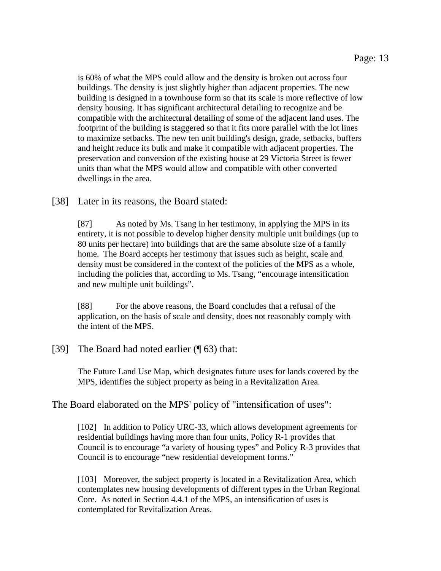is 60% of what the MPS could allow and the density is broken out across four buildings. The density is just slightly higher than adjacent properties. The new building is designed in a townhouse form so that its scale is more reflective of low density housing. It has significant architectural detailing to recognize and be compatible with the architectural detailing of some of the adjacent land uses. The footprint of the building is staggered so that it fits more parallel with the lot lines to maximize setbacks. The new ten unit building's design, grade, setbacks, buffers and height reduce its bulk and make it compatible with adjacent properties. The preservation and conversion of the existing house at 29 Victoria Street is fewer units than what the MPS would allow and compatible with other converted dwellings in the area.

#### [38] Later in its reasons, the Board stated:

[87] As noted by Ms. Tsang in her testimony, in applying the MPS in its entirety, it is not possible to develop higher density multiple unit buildings (up to 80 units per hectare) into buildings that are the same absolute size of a family home. The Board accepts her testimony that issues such as height, scale and density must be considered in the context of the policies of the MPS as a whole, including the policies that, according to Ms. Tsang, "encourage intensification and new multiple unit buildings".

[88] For the above reasons, the Board concludes that a refusal of the application, on the basis of scale and density, does not reasonably comply with the intent of the MPS.

#### [39] The Board had noted earlier (¶ 63) that:

The Future Land Use Map, which designates future uses for lands covered by the MPS, identifies the subject property as being in a Revitalization Area.

The Board elaborated on the MPS' policy of "intensification of uses":

[102] In addition to Policy URC-33, which allows development agreements for residential buildings having more than four units, Policy R-1 provides that Council is to encourage "a variety of housing types" and Policy R-3 provides that Council is to encourage "new residential development forms."

[103] Moreover, the subject property is located in a Revitalization Area, which contemplates new housing developments of different types in the Urban Regional Core. As noted in Section 4.4.1 of the MPS, an intensification of uses is contemplated for Revitalization Areas.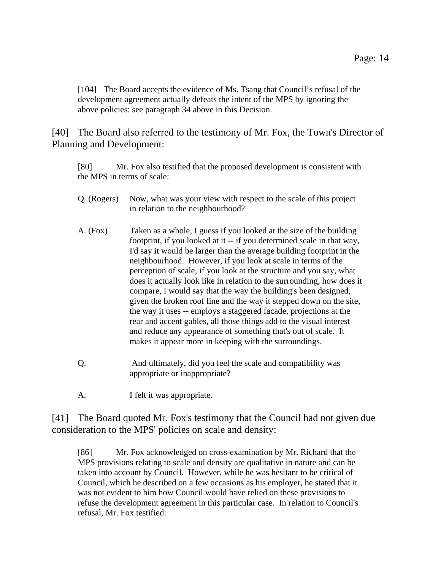[104] The Board accepts the evidence of Ms. Tsang that Council's refusal of the development agreement actually defeats the intent of the MPS by ignoring the above policies: see paragraph 34 above in this Decision.

[40] The Board also referred to the testimony of Mr. Fox, the Town's Director of Planning and Development:

[80] Mr. Fox also testified that the proposed development is consistent with the MPS in terms of scale:

- Q. (Rogers) Now, what was your view with respect to the scale of this project in relation to the neighbourhood?
- A. (Fox) Taken as a whole, I guess if you looked at the size of the building footprint, if you looked at it -- if you determined scale in that way, I'd say it would be larger than the average building footprint in the neighbourhood. However, if you look at scale in terms of the perception of scale, if you look at the structure and you say, what does it actually look like in relation to the surrounding, how does it compare, I would say that the way the building's been designed, given the broken roof line and the way it stepped down on the site, the way it uses -- employs a staggered facade, projections at the rear and accent gables, all those things add to the visual interest and reduce any appearance of something that's out of scale. It makes it appear more in keeping with the surroundings.
- Q. And ultimately, did you feel the scale and compatibility was appropriate or inappropriate?
- A. I felt it was appropriate.

[41] The Board quoted Mr. Fox's testimony that the Council had not given due consideration to the MPS' policies on scale and density:

[86] Mr. Fox acknowledged on cross-examination by Mr. Richard that the MPS provisions relating to scale and density are qualitative in nature and can be taken into account by Council. However, while he was hesitant to be critical of Council, which he described on a few occasions as his employer, he stated that it was not evident to him how Council would have relied on these provisions to refuse the development agreement in this particular case. In relation to Council's refusal, Mr. Fox testified: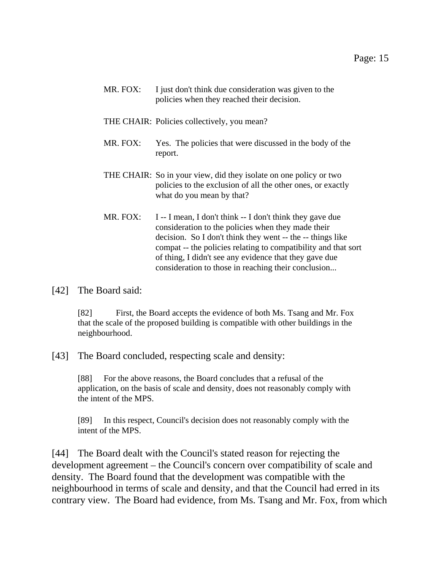| MR. FOX: | I just don't think due consideration was given to the |
|----------|-------------------------------------------------------|
|          | policies when they reached their decision.            |

- THE CHAIR: Policies collectively, you mean?
- MR. FOX: Yes. The policies that were discussed in the body of the report.
- THE CHAIR: So in your view, did they isolate on one policy or two policies to the exclusion of all the other ones, or exactly what do you mean by that?
- MR. FOX: I -- I mean, I don't think  $-$  I don't think they gave due consideration to the policies when they made their decision. So I don't think they went -- the -- things like compat -- the policies relating to compatibility and that sort of thing, I didn't see any evidence that they gave due consideration to those in reaching their conclusion...
- [42] The Board said:

[82] First, the Board accepts the evidence of both Ms. Tsang and Mr. Fox that the scale of the proposed building is compatible with other buildings in the neighbourhood.

[43] The Board concluded, respecting scale and density:

[88] For the above reasons, the Board concludes that a refusal of the application, on the basis of scale and density, does not reasonably comply with the intent of the MPS.

[89] In this respect, Council's decision does not reasonably comply with the intent of the MPS.

[44] The Board dealt with the Council's stated reason for rejecting the development agreement – the Council's concern over compatibility of scale and density. The Board found that the development was compatible with the neighbourhood in terms of scale and density, and that the Council had erred in its contrary view. The Board had evidence, from Ms. Tsang and Mr. Fox, from which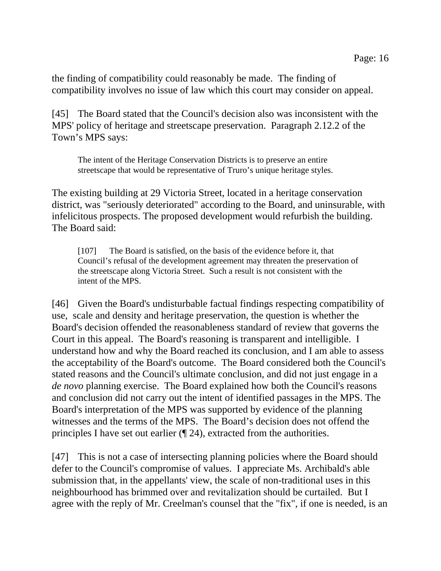the finding of compatibility could reasonably be made. The finding of compatibility involves no issue of law which this court may consider on appeal.

[45] The Board stated that the Council's decision also was inconsistent with the MPS' policy of heritage and streetscape preservation. Paragraph 2.12.2 of the Town's MPS says:

The intent of the Heritage Conservation Districts is to preserve an entire streetscape that would be representative of Truro's unique heritage styles.

The existing building at 29 Victoria Street, located in a heritage conservation district, was "seriously deteriorated" according to the Board, and uninsurable, with infelicitous prospects. The proposed development would refurbish the building. The Board said:

[107] The Board is satisfied, on the basis of the evidence before it, that Council's refusal of the development agreement may threaten the preservation of the streetscape along Victoria Street. Such a result is not consistent with the intent of the MPS.

[46] Given the Board's undisturbable factual findings respecting compatibility of use, scale and density and heritage preservation, the question is whether the Board's decision offended the reasonableness standard of review that governs the Court in this appeal. The Board's reasoning is transparent and intelligible. I understand how and why the Board reached its conclusion, and I am able to assess the acceptability of the Board's outcome. The Board considered both the Council's stated reasons and the Council's ultimate conclusion, and did not just engage in a *de novo* planning exercise. The Board explained how both the Council's reasons and conclusion did not carry out the intent of identified passages in the MPS. The Board's interpretation of the MPS was supported by evidence of the planning witnesses and the terms of the MPS. The Board's decision does not offend the principles I have set out earlier (¶ 24), extracted from the authorities.

[47] This is not a case of intersecting planning policies where the Board should defer to the Council's compromise of values. I appreciate Ms. Archibald's able submission that, in the appellants' view, the scale of non-traditional uses in this neighbourhood has brimmed over and revitalization should be curtailed. But I agree with the reply of Mr. Creelman's counsel that the "fix", if one is needed, is an